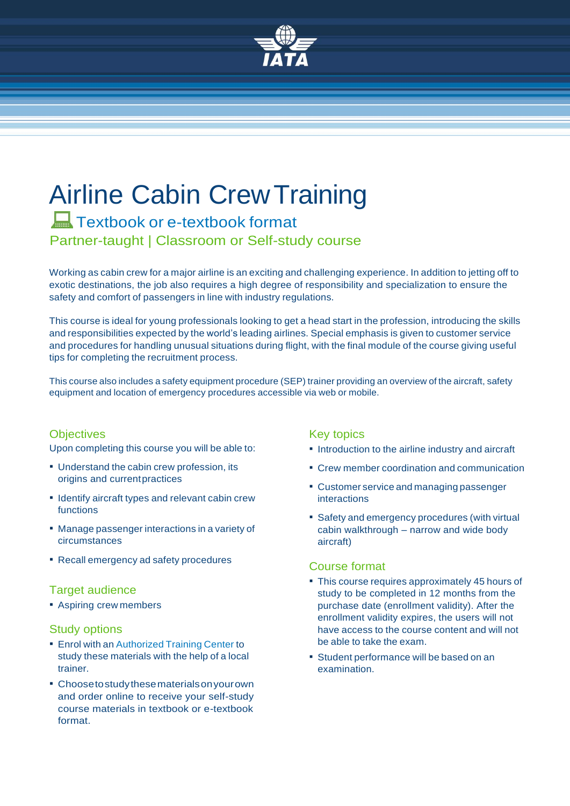

# Airline Cabin CrewTraining **Textbook or e-textbook format**

Partner-taught | Classroom or Self-study course

Working as cabin crew for a major airline is an exciting and challenging experience. In addition to jetting off to exotic destinations, the job also requires a high degree of responsibility and specialization to ensure the safety and comfort of passengers in line with industry regulations.

This course is ideal for young professionals looking to get a head start in the profession, introducing the skills and responsibilities expected by the world's leading airlines. Special emphasis is given to customer service and procedures for handling unusual situations during flight, with the final module of the course giving useful tips for completing the recruitment process.

This course also includes a safety equipment procedure (SEP) trainer providing an overview of the aircraft, safety equipment and location of emergency procedures accessible via web or mobile.

### **Objectives**

Upon completing this course you will be able to:

- **.** Understand the cabin crew profession, its origins and currentpractices
- **.** Identify aircraft types and relevant cabin crew functions
- Manage passenger interactions in a variety of circumstances
- Recall emergency ad safety procedures

#### Target audience

**B** Aspiring crew members

#### Study options

- **Enrol with an [Authorized](http://www.atc.com.gr/) Training Center to** study these materials with the help of a local trainer.
- Choosetostudythesematerialsonyourown and order online to receive your self-study course materials in textbook or e-textbook format.

### Key topics

- **.** Introduction to the airline industry and aircraft
- Crew member coordination and communication
- **EXECUSTER IN CUSTOMER SETTLE SETTLE FOURIST** interactions
- **Safety and emergency procedures (with virtual** cabin walkthrough – narrow and wide body aircraft)

### Course format

- **This course requires approximately 45 hours of** study to be completed in 12 months from the purchase date (enrollment validity). After the enrollment validity expires, the users will not have access to the course content and will not be able to take the exam.
- Student performance will be based on an examination.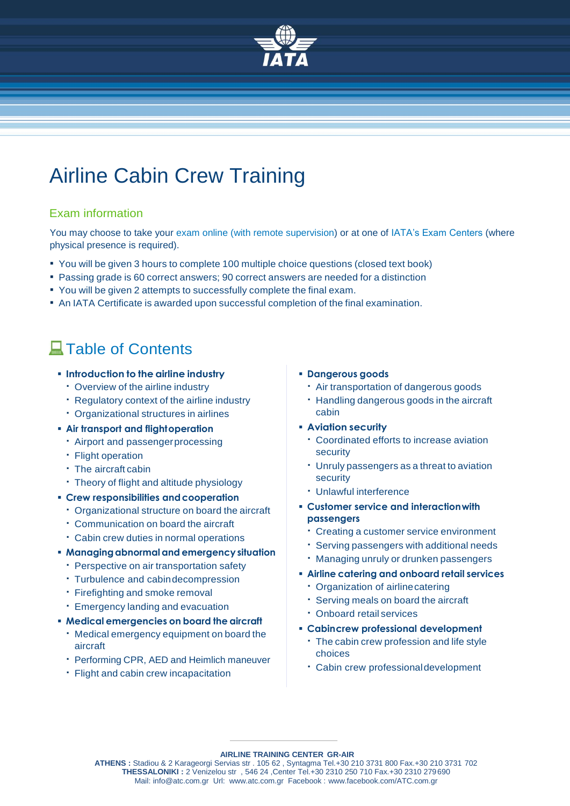

# Airline Cabin Crew Training

## Exam information

You may choose to take your exam online (with remote supervision) or at one of IATA's Exam Centers (where physical presence is required).

- You will be given 3 hours to complete 100 multiple choice questions (closed text book)
- Passing grade is 60 correct answers; 90 correct answers are needed for a distinction
- You will be given 2 attempts to successfully complete the final exam.
- An IATA Certificate is awarded upon successful completion of the final examination.

# **A**Table of Contents

#### **Introduction to the airline industry**

- Overview of the airline industry
- Regulatory context of the airline industry
- Organizational structures in airlines
- **Air transport and flightoperation**
	- Airport and passengerprocessing
	- Flight operation
	- The aircraft cabin
	- Theory of flight and altitude physiology
- **F** Crew responsibilities and cooperation
	- Organizational structure on board the aircraft
	- Communication on board the aircraft
	- Cabin crew duties in normal operations
- **Managingabnormaland emergency situation**
	- **Perspective on air transportation safety**
	- Turbulence and cabindecompression
	- Firefighting and smoke removal
	- Emergency landing and evacuation
- **Medical emergencies on board the aircraft**
	- Medical emergency equipment on board the aircraft
	- Performing CPR, AED and Heimlich maneuver
	- Flight and cabin crew incapacitation
- **Dangerous goods**
	- Air transportation of dangerous goods
	- Handling dangerous goods in the aircraft cabin
- **Aviation security**
	- Coordinated efforts to increase aviation security
	- Unruly passengers as a threat to aviation security
	- Unlawful interference
- **Customer service and interactionwith passengers**
	- Creating a customer service environment
	- Serving passengers with additional needs
	- Managing unruly or drunken passengers
- **Airline catering and onboard retail services**
	- Organization of airlinecatering
	- Serving meals on board the aircraft
	- Onboard retail services
- **Cabincrew professional development**
	- The cabin crew profession and life style choices
	- Cabin crew professionaldevelopment

**AIRLINE TRAINING CENTER GR-AIR**